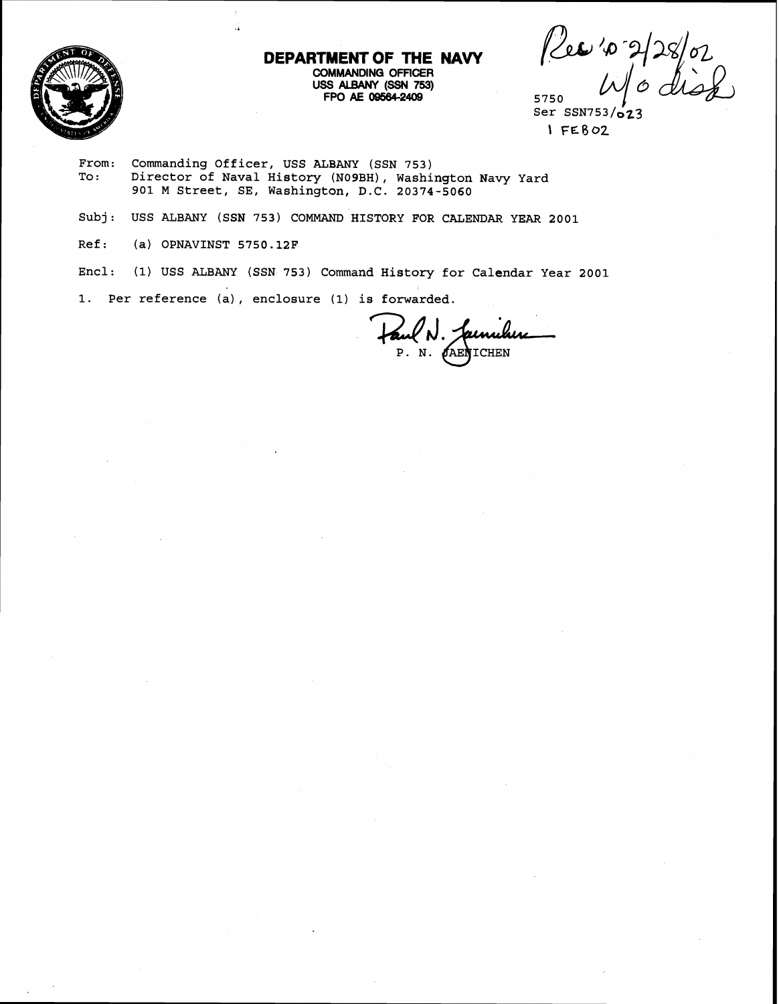

# **DEPARTMENT OF THE NAVY COMMANDING OFFICER**   $FPO$  **AE 09564-2409**

Per 10 2/28/02<br>W/o disd

 $Ser$   $SSN753/\sigma$   $23$ \ **FESOZ** 

- From: Commanding Officer, USS ALBANY (SSN 753)<br>To: Director of Naval History (N09BH), Washi Director of Naval History (NO9BH), Washington Navy Yard 901 M Street, SE, Washington, D.C. 20374-5060
- Subj: USS ALBANY (SSN 753) COMMAND HISTORY FOR CALENDAR YEAR 2001
- Ref: (a) OPNAVINST 5750.12F
- Encl: **(1)** USS ALBANY (SSN 753) Command History for Calendar Year 2001
- 1. Per reference (a) , enclosure (1) is forwarded.

A

Faul N. Jacmilier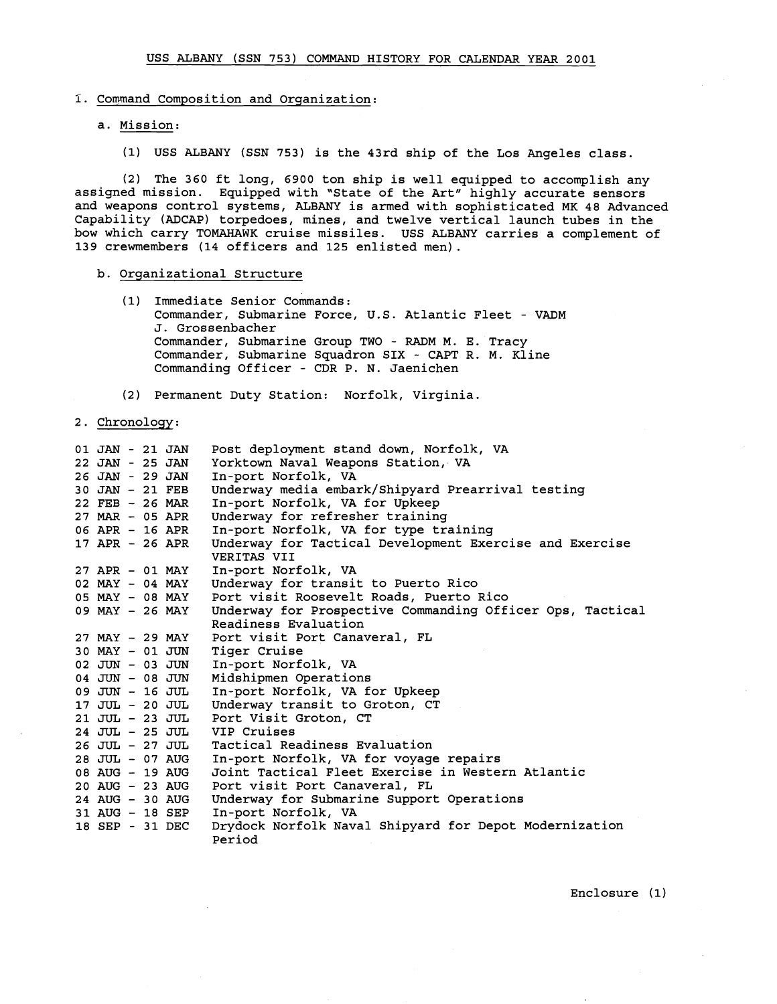## **I.** Command Composition and Organization:

# a. Mission:

(1) USS ALBANY (SSN 753) is the 43rd ship of the Los Angeles class.

(2) The 360 ft long, 6900 ton ship is well equipped to accomplish any assigned mission. Equipped with "State of the Art" highly accurate sensors and weapons control systems, ALBANY is armed with sophisticated MK 48 Advanced Capability (ADCAP) torpedoes, mines, and twelve vertical launch tubes in the bow which carry TOMAHAWK cruise missiles. USS ALBANY carries a complement of 139 crewmembers (14 officers and 125 enlisted men).

### b. Organizational Structure

(1) Immediate Senior Commands: Commander, Submarine Force, U.S. Atlantic Fleet - VADM J. Grossenbacher Commander, Submarine Group TWO - **RADM** M. E. Tracy Commander, Submarine Squadron SIX - CAPT R. M. Kline Commanding Officer - CDR P. N. Jaenichen

(2) Permanent Duty Station: Norfolk, Virginia.

2. Chronology:

| 01 JAN - 21 JAN   |  | Post deployment stand down, Norfolk, VA                                |
|-------------------|--|------------------------------------------------------------------------|
| 22 JAN - 25 JAN   |  | Yorktown Naval Weapons Station, VA                                     |
| 26 JAN - 29 JAN   |  | In-port Norfolk, VA                                                    |
| 30 JAN - 21 FEB   |  | Underway media embark/Shipyard Prearrival testing                      |
| $22$ FEB - 26 MAR |  | In-port Norfolk, VA for Upkeep                                         |
| 27 MAR - 05 APR   |  | Underway for refresher training                                        |
| 06 APR - 16 APR   |  | In-port Norfolk, VA for type training                                  |
| 17 APR - 26 APR   |  | Underway for Tactical Development Exercise and Exercise<br>VERITAS VII |
| 27 APR - 01 MAY   |  | In-port Norfolk, VA                                                    |
| 02 MAY - 04 MAY   |  | Underway for transit to Puerto Rico                                    |
| 05 MAY - 08 MAY   |  | Port visit Roosevelt Roads, Puerto Rico                                |
| 09 MAY - 26 MAY   |  | Underway for Prospective Commanding Officer Ops, Tactical              |
|                   |  | Readiness Evaluation                                                   |
| 27 MAY - 29 MAY   |  | Port visit Port Canaveral, FL                                          |
| 30 MAY - 01 JUN   |  | Tiger Cruise                                                           |
| 02 JUN - 03 JUN   |  | In-port Norfolk, VA                                                    |
| $04$ JUN - 08 JUN |  | Midshipmen Operations                                                  |
| 09 JUN - 16 JUL   |  | In-port Norfolk, VA for Upkeep                                         |
| 17 JUL - 20 JUL   |  | Underway transit to Groton, CT                                         |
| 21 JUL - 23 JUL   |  | Port Visit Groton, CT                                                  |
| 24 JUL - 25 JUL   |  | VIP Cruises                                                            |
| 26 JUL - 27 JUL   |  | Tactical Readiness Evaluation                                          |
| 28 JUL - 07 AUG   |  | In-port Norfolk, VA for voyage repairs                                 |
| 08 AUG - 19 AUG   |  | Joint Tactical Fleet Exercise in Western Atlantic                      |
| 20 AUG - 23 AUG   |  | Port visit Port Canaveral, FL                                          |
| 24 AUG - 30 AUG   |  | Underway for Submarine Support Operations                              |
| 31 AUG - 18 SEP   |  | In-port Norfolk, VA                                                    |
| 18 SEP - 31 DEC   |  | Drydock Norfolk Naval Shipyard for Depot Modernization<br>Period       |

Enclosure (1)